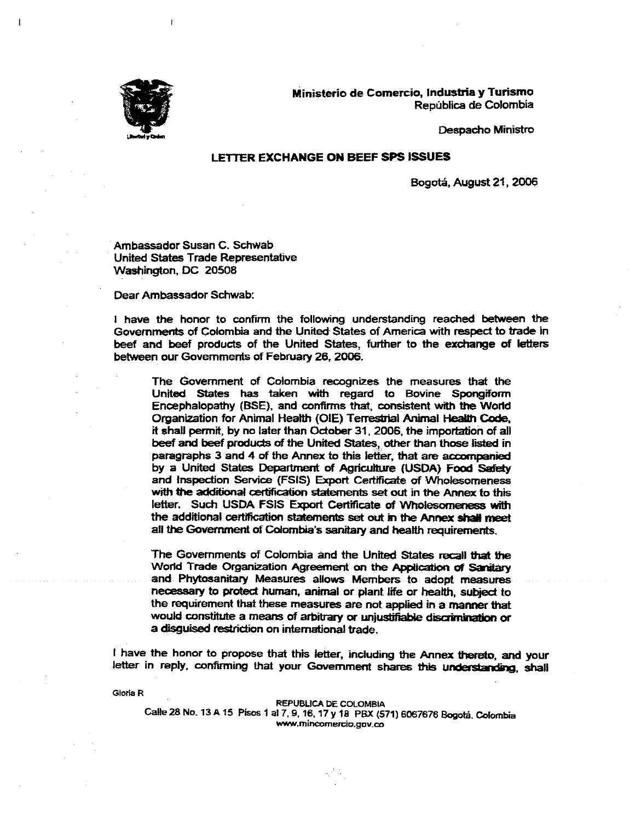

Ministerio de Comercio, Industria y Turismo República de Colombia

Despacho Ministro

## **LETTER EXCHANGE ON BEEF SPS ISSUES**

Bogotá, August 21, 2006

Ambassador Susan C. Schwab United States Trade Representative Washington, DC 20508

Dear Ambassador Schwab:

I have the honor to confirm the following understanding reached between the Governments of Colombia and the United States of America with respect to trade in beef and beef products of the United States, further to the exchange of letters between our Governments of February 26, 2006.

The Government of Colombia recognizes the measures that the United States has taken with regard to Bovine Spongiform Encephalopathy (BSE), and confirms that, consistent with the World Organization for Animal Health (OIE) Terrestrial Animal Health Code, it shall permit, by no later than October 31, 2006, the importation of all beef and beef products of the United States, other than those listed in paragraphs 3 and 4 of the Annex to this letter, that are accompanied by a United States Department of Agriculture (USDA) Food Safety and Inspection Service (FSIS) Export Certificate of Wholesomeness with the additional certification statements set out in the Annex to this letter. Such USDA FSIS Export Certificate of Wholesomeness with the additional certification statements set out in the Annex shall meet all the Government of Colombia's sanitary and health requirements.

The Governments of Colombia and the United States recall that the World Trade Organization Agreement on the Application of Sanitary and Phytosanitary Measures allows Members to adopt measures necessary to protect human, animal or plant life or health, subject to the requirement that these measures are not applied in a manner that would constitute a means of arbitrary or unjustifiable discrimination or a disguised restriction on international trade.

I have the honor to propose that this letter, including the Annex thereto, and your letter in reply, confirming that your Government shares this understanding, shall

Gloria R

**REPUBLICA DE COLOMBIA** Calle 28 No. 13 A 15 Pisos 1 al 7, 9, 16, 17 y 18 PBX (571) 6067676 Bogotá, Colombia www.mincomercio.gov.co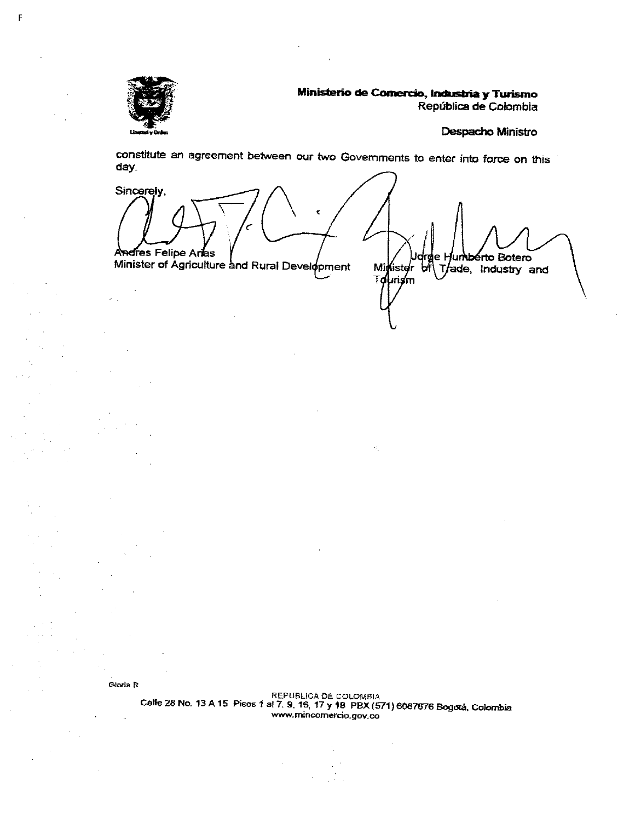

F

Ministerio de Comercio, Industria y Turismo República de Colombia

Despacho Ministro

constitute an agreement between our two Governments to enter into force on this day.

Sincerely, Ŷ. Andres Felipe Artes jumbérto Botero ldrge H Minister of Agriculture and Rural Development Minister bill Trade, Industry and T**oµrism** 

戒

Gloria R

 $\ddot{\phantom{a}}$ 

REPUBLICA DE COLOMBIA<br>Calle 28 No. 13 A 15 Pisos 1 al 7, 9, 16, 17 y 18 PBX (571) 6067676 Bogotá, Colombia www.mincomercio.gov.co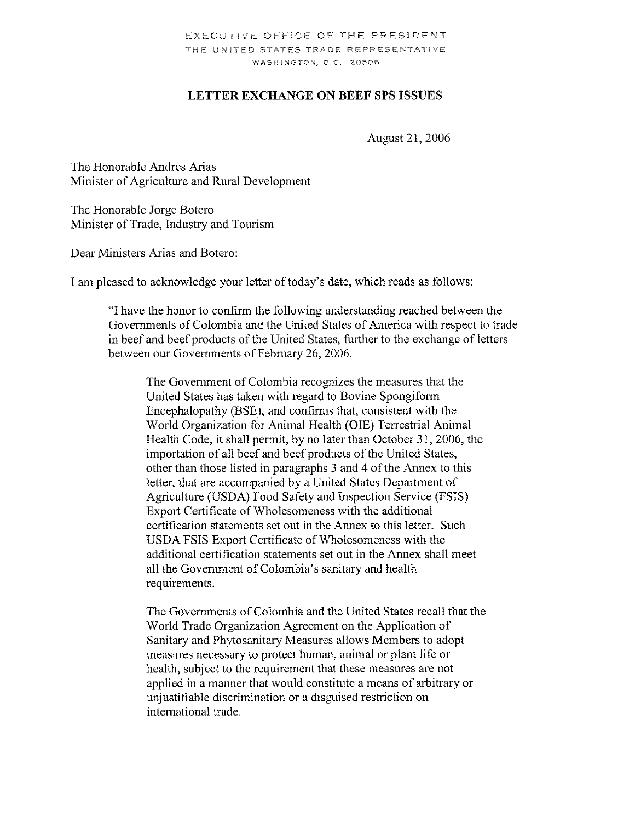## **LETTER EXCHANGE ON BEEF SPS ISSUES**

August 21, 2006

The Honorable Andres Arias Minister of Agriculture and Rural Development

The Honorable Jorge Botero Minister of Trade, Industry and Tourism

Dear Ministers Arias and Botero:

I am pleased to acknowledge your letter of today's date, which reads as follows:

"I have the honor to confirm the following understanding reached between the Governments of Colombia and the United States of America with respect to trade in beef and beef products of the United States, further to the exchange of letters between our Governments of February 26, 2006.

The Government of Colombia recognizes the measures that the United States has taken with regard to Bovine Spongiform Encephalopathy (BSE), and confirms that, consistent with the World Organization for Animal Health (OIE) Terrestrial Animal Health Code, it shall permit, by no later than October 31, 2006, the importation of all beef and beef products of the United States, other than those listed in paragraphs 3 and 4 of the Annex to this letter, that are accompanied by a United States Department of Agriculture (USDA) Food Safety and Inspection Service (FSIS) Export Certificate of Wholesomeness with the additional certification statements set out in the Annex to this letter. Such USDA FSIS Export Certificate of Wholesomeness with the additional certification statements set out in the Annex shall meet all the Government of Colombia's sanitary and health requirements.

The Governments of Colombia and the United States recall that the World Trade Organization Agreement on the Application of Sanitary and Phytosanitary Measures allows Members to adopt measures necessary to protect human, animal or plant life or health, subject to the requirement that these measures are not applied in a manner that would constitute a means of arbitrary or unjustifiable discrimination or a disguised restriction on international trade.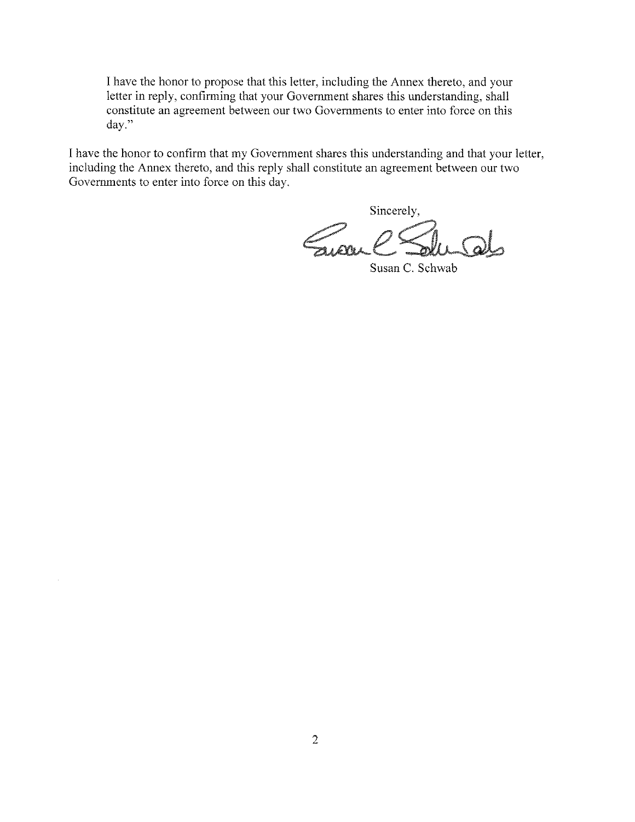I have the honor to propose that this letter, including the Annex thereto, and your letter in reply, confirming that your Government shares this understanding, shall constitute an agreement between our two Governments to enter into force on this day."

I have the honor to confirm that my Government shares this understanding and that your letter, including the Annex thereto, and this reply shall constitute an agreement between our two Governments to enter into force on this day.

Sincerely,

Susan C. Schwab